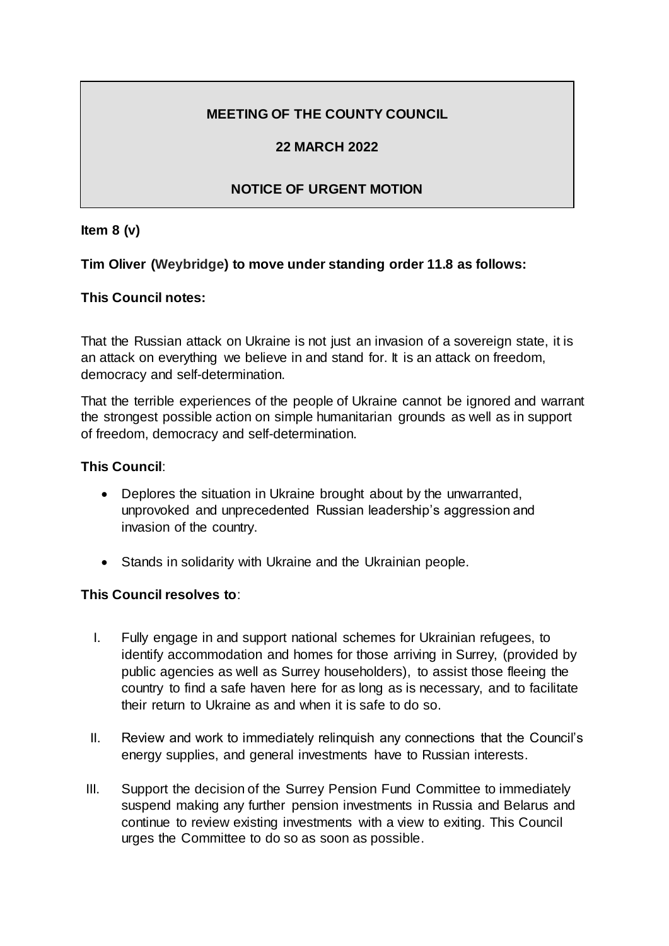# **MEETING OF THE COUNTY COUNCIL**

# **22 MARCH 2022**

# **NOTICE OF URGENT MOTION**

#### **Item 8 (v)**

## **Tim Oliver (Weybridge) to move under standing order 11.8 as follows:**

## **This Council notes:**

That the Russian attack on Ukraine is not just an invasion of a sovereign state, it is an attack on everything we believe in and stand for. It is an attack on freedom, democracy and self-determination.

That the terrible experiences of the people of Ukraine cannot be ignored and warrant the strongest possible action on simple humanitarian grounds as well as in support of freedom, democracy and self-determination.

#### **This Council**:

- Deplores the situation in Ukraine brought about by the unwarranted, unprovoked and unprecedented Russian leadership's aggression and invasion of the country.
- Stands in solidarity with Ukraine and the Ukrainian people.

#### **This Council resolves to**:

- I. Fully engage in and support national schemes for Ukrainian refugees, to identify accommodation and homes for those arriving in Surrey, (provided by public agencies as well as Surrey householders), to assist those fleeing the country to find a safe haven here for as long as is necessary, and to facilitate their return to Ukraine as and when it is safe to do so.
- II. Review and work to immediately relinquish any connections that the Council's energy supplies, and general investments have to Russian interests.
- III. Support the decision of the Surrey Pension Fund Committee to immediately suspend making any further pension investments in Russia and Belarus and continue to review existing investments with a view to exiting. This Council urges the Committee to do so as soon as possible.